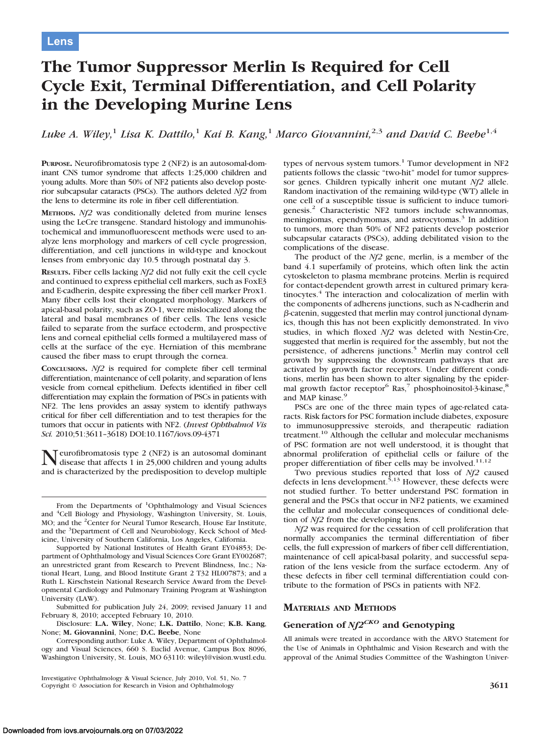# **The Tumor Suppressor Merlin Is Required for Cell Cycle Exit, Terminal Differentiation, and Cell Polarity in the Developing Murine Lens**

*Luke A. Wiley,*<sup>1</sup> *Lisa K. Dattilo,*<sup>1</sup> *Kai B. Kang,*<sup>1</sup> *Marco Giovannini,*2,3 *and David C. Beebe*1,4

**PURPOSE.** Neurofibromatosis type 2 (NF2) is an autosomal-dominant CNS tumor syndrome that affects 1:25,000 children and young adults. More than 50% of NF2 patients also develop posterior subcapsular cataracts (PSCs). The authors deleted *Nf2* from the lens to determine its role in fiber cell differentiation.

**METHODS.** *Nf2* was conditionally deleted from murine lenses using the LeCre transgene. Standard histology and immunohistochemical and immunofluorescent methods were used to analyze lens morphology and markers of cell cycle progression, differentiation, and cell junctions in wild-type and knockout lenses from embryonic day 10.5 through postnatal day 3.

**RESULTS.** Fiber cells lacking *Nf2* did not fully exit the cell cycle and continued to express epithelial cell markers, such as FoxE3 and E-cadherin, despite expressing the fiber cell marker Prox1. Many fiber cells lost their elongated morphology. Markers of apical-basal polarity, such as ZO-1, were mislocalized along the lateral and basal membranes of fiber cells. The lens vesicle failed to separate from the surface ectoderm, and prospective lens and corneal epithelial cells formed a multilayered mass of cells at the surface of the eye. Herniation of this membrane caused the fiber mass to erupt through the cornea.

**CONCLUSIONS.** *Nf2* is required for complete fiber cell terminal differentiation, maintenance of cell polarity, and separation of lens vesicle from corneal epithelium. Defects identified in fiber cell differentiation may explain the formation of PSCs in patients with NF2. The lens provides an assay system to identify pathways critical for fiber cell differentiation and to test therapies for the tumors that occur in patients with NF2. (*Invest Ophthalmol Vis Sci.* 2010;51:3611–3618) DOI:10.1167/iovs.09-4371

Neurofibromatosis type 2 (NF2) is an autosomal dominant disease that affects 1 in 25,000 children and young adults and is characterized by the predisposition to develop multiple

From the Departments of <sup>1</sup>Ophthalmology and Visual Sciences and <sup>4</sup>Cell Biology and Physiology, Washington University, St. Louis, MO; and the <sup>2</sup>Center for Neural Tumor Research, House Ear Institute, and the <sup>3</sup>Department of Cell and Neurobiology, Keck School of Medicine, University of Southern California, Los Angeles, California.

Supported by National Institutes of Health Grant EY04853; Department of Ophthalmology and Visual Sciences Core Grant EY002687; an unrestricted grant from Research to Prevent Blindness, Inc.; National Heart, Lung, and Blood Institute Grant 2 T32 HL007873; and a Ruth L. Kirschstein National Research Service Award from the Developmental Cardiology and Pulmonary Training Program at Washington University (LAW).

Submitted for publication July 24, 2009; revised January 11 and February 8, 2010; accepted February 10, 2010.

Disclosure: **L.A. Wiley**, None; **L.K. Dattilo**, None; **K.B. Kang**, None; **M. Giovannini**, None; **D.C. Beebe**, None

Corresponding author: Luke A. Wiley, Department of Ophthalmology and Visual Sciences, 660 S. Euclid Avenue, Campus Box 8096, Washington University, St. Louis, MO 63110: wileyl@vision.wustl.edu. types of nervous system tumors.<sup>1</sup> Tumor development in NF2 patients follows the classic "two-hit" model for tumor suppressor genes. Children typically inherit one mutant *Nf2* allele. Random inactivation of the remaining wild-type (WT) allele in one cell of a susceptible tissue is sufficient to induce tumorigenesis.<sup>2</sup> Characteristic NF2 tumors include schwannomas, meningiomas, ependymomas, and astrocytomas.<sup>3</sup> In addition to tumors, more than 50% of NF2 patients develop posterior subcapsular cataracts (PSCs), adding debilitated vision to the complications of the disease.

The product of the *Nf2* gene, merlin, is a member of the band 4.1 superfamily of proteins, which often link the actin cytoskeleton to plasma membrane proteins. Merlin is required for contact-dependent growth arrest in cultured primary keratinocytes.<sup>4</sup> The interaction and colocalization of merlin with the components of adherens junctions, such as N-cadherin and  $\beta$ -catenin, suggested that merlin may control junctional dynamics, though this has not been explicitly demonstrated. In vivo studies, in which floxed *Nf2* was deleted with Nestin-Cre, suggested that merlin is required for the assembly, but not the persistence, of adherens junctions.<sup>5</sup> Merlin may control cell growth by suppressing the downstream pathways that are activated by growth factor receptors. Under different conditions, merlin has been shown to alter signaling by the epidermal growth factor receptor<sup>6</sup> Ras,<sup>7</sup> phosphoinositol-3-kinase,<sup>8</sup> and MAP kinase.<sup>9</sup>

PSCs are one of the three main types of age-related cataracts. Risk factors for PSC formation include diabetes, exposure to immunosuppressive steroids, and therapeutic radiation treatment.10 Although the cellular and molecular mechanisms of PSC formation are not well understood, it is thought that abnormal proliferation of epithelial cells or failure of the proper differentiation of fiber cells may be involved.<sup>11,12</sup>

Two previous studies reported that loss of *Nf2* caused defects in lens development.<sup>5,13</sup> However, these defects were not studied further. To better understand PSC formation in general and the PSCs that occur in NF2 patients, we examined the cellular and molecular consequences of conditional deletion of *Nf2* from the developing lens.

*Nf2* was required for the cessation of cell proliferation that normally accompanies the terminal differentiation of fiber cells, the full expression of markers of fiber cell differentiation, maintenance of cell apical-basal polarity, and successful separation of the lens vesicle from the surface ectoderm. Any of these defects in fiber cell terminal differentiation could contribute to the formation of PSCs in patients with NF2.

#### **MATERIALS AND METHODS**

## **Generation of** *Nf2CKO* **and Genotyping**

All animals were treated in accordance with the ARVO Statement for the Use of Animals in Ophthalmic and Vision Research and with the approval of the Animal Studies Committee of the Washington Univer-

Investigative Ophthalmology & Visual Science, July 2010, Vol. 51, No. 7 Copyright © Association for Research in Vision and Ophthalmology **3611**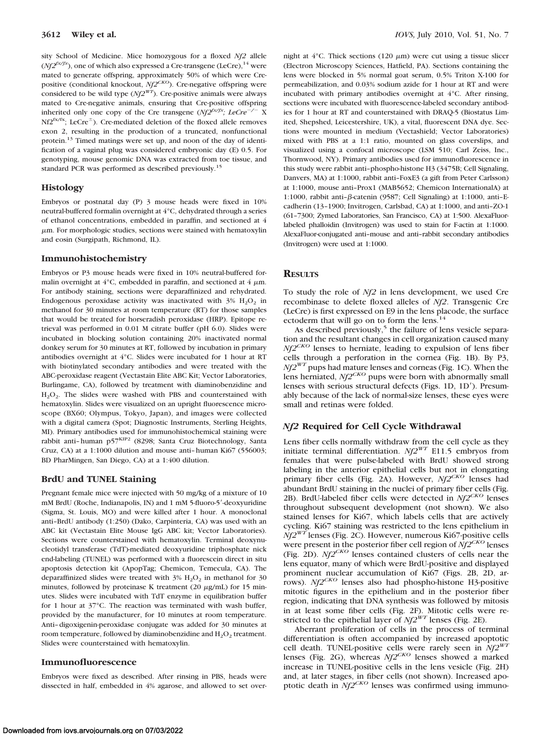sity School of Medicine. Mice homozygous for a floxed *Nf2* allele  $(Nf2^{f x/f x})$ , one of which also expressed a Cre-transgene (LeCre), <sup>14</sup> were mated to generate offspring, approximately 50% of which were Crepositive (conditional knockout, *Nf2<sup>CKO*</sup>). Cre-negative offspring were considered to be wild type (*Nf2WT*). Cre-positive animals were always mated to Cre-negative animals, ensuring that Cre-positive offspring inherited only one copy of the Cre transgene  $(Nf2^{f(x/fx)}; LeCre^{-/-} X)$  $Nf2^{fx/fx}$ ; LeCre<sup>+</sup>). Cre-mediated deletion of the floxed allele removes exon 2, resulting in the production of a truncated, nonfunctional protein.13 Timed matings were set up, and noon of the day of identification of a vaginal plug was considered embryonic day (E) 0.5. For genotyping, mouse genomic DNA was extracted from toe tissue, and standard PCR was performed as described previously.15

#### **Histology**

Embryos or postnatal day (P) 3 mouse heads were fixed in 10% neutral-buffered formalin overnight at 4°C, dehydrated through a series of ethanol concentrations, embedded in paraffin, and sectioned at 4  $\mu$ m. For morphologic studies, sections were stained with hematoxylin and eosin (Surgipath, Richmond, IL).

#### **Immunohistochemistry**

Embryos or P3 mouse heads were fixed in 10% neutral-buffered formalin overnight at  $4^{\circ}$ C, embedded in paraffin, and sectioned at  $4 \mu$ m. For antibody staining, sections were deparaffinized and rehydrated. Endogenous peroxidase activity was inactivated with  $3\%$  H<sub>2</sub>O<sub>2</sub> in methanol for 30 minutes at room temperature (RT) for those samples that would be treated for horseradish peroxidase (HRP). Epitope retrieval was performed in 0.01 M citrate buffer (pH 6.0). Slides were incubated in blocking solution containing 20% inactivated normal donkey serum for 30 minutes at RT, followed by incubation in primary antibodies overnight at 4°C. Slides were incubated for 1 hour at RT with biotinylated secondary antibodies and were treated with the ABC-peroxidase reagent (Vectastain Elite ABC Kit; Vector Laboratories, Burlingame, CA), followed by treatment with diaminobenzidine and H<sub>2</sub>O<sub>2</sub>. The slides were washed with PBS and counterstained with hematoxylin. Slides were visualized on an upright fluorescence microscope (BX60; Olympus, Tokyo, Japan), and images were collected with a digital camera (Spot; Diagnostic Instruments, Sterling Heights, MI). Primary antibodies used for immunohistochemical staining were rabbit anti-human p57KIP2 (8298; Santa Cruz Biotechnology, Santa Cruz, CA) at a 1:1000 dilution and mouse anti– human Ki67 (556003; BD PharMingen, San Diego, CA) at a 1:400 dilution.

#### **BrdU and TUNEL Staining**

Pregnant female mice were injected with 50 mg/kg of a mixture of 10 mM BrdU (Roche, Indianapolis, IN) and 1 mM 5-fluoro-5'-deoxyuridine (Sigma, St. Louis, MO) and were killed after 1 hour. A monoclonal anti–BrdU antibody (1:250) (Dako, Carpinteria, CA) was used with an ABC kit (Vectastain Elite Mouse IgG ABC kit; Vector Laboratories). Sections were counterstained with hematoxylin. Terminal deoxynucleotidyl transferase (TdT)-mediated deoxyuridine triphosphate nick end-labeling (TUNEL) was performed with a fluorescein direct in situ apoptosis detection kit (ApopTag; Chemicon, Temecula, CA). The deparaffinized slides were treated with  $3\%$  H<sub>2</sub>O<sub>2</sub> in methanol for 30 minutes, followed by proteinase K treatment  $(20 \mu g/mL)$  for 15 minutes. Slides were incubated with TdT enzyme in equilibration buffer for 1 hour at 37°C. The reaction was terminated with wash buffer, provided by the manufacturer, for 10 minutes at room temperature. Anti– digoxigenin-peroxidase conjugate was added for 30 minutes at room temperature, followed by diaminobenzidine and  $H_2O_2$  treatment. Slides were counterstained with hematoxylin.

#### **Immunofluorescence**

Embryos were fixed as described. After rinsing in PBS, heads were dissected in half, embedded in 4% agarose, and allowed to set over-

night at  $4^{\circ}$ C. Thick sections (120  $\mu$ m) were cut using a tissue slicer (Electron Microscopy Sciences, Hatfield, PA). Sections containing the lens were blocked in 5% normal goat serum, 0.5% Triton X-100 for permeabilization, and 0.03% sodium azide for 1 hour at RT and were incubated with primary antibodies overnight at 4°C. After rinsing, sections were incubated with fluorescence-labeled secondary antibodies for 1 hour at RT and counterstained with DRAQ-5 (Biostatus Limited, Shepshed, Leicestershire, UK), a vital, fluorescent DNA dye. Sections were mounted in medium (Vectashield; Vector Laboratories) mixed with PBS at a 1:1 ratio, mounted on glass coverslips, and visualized using a confocal microscope (LSM 510; Carl Zeiss, Inc., Thornwood, NY). Primary antibodies used for immunofluorescence in this study were rabbit anti–phospho-histone H3 (3475B; Cell Signaling, Danvers, MA) at 1:1000, rabbit anti–FoxE3 (a gift from Peter Carlsson) at 1:1000, mouse anti–Prox1 (MAB5652; Chemicon InternationalA) at 1:1000, rabbit anti- $\beta$ -catenin (9587; Cell Signaling) at 1:1000, anti-Ecadherin (13–1900; Invitrogen, Carlsbad, CA) at 1:1000, and anti–ZO-1 (61–7300; Zymed Laboratories, San Francisco, CA) at 1:500. AlexaFluorlabeled phalloidin (Invitrogen) was used to stain for F-actin at 1:1000. AlexaFluor-conjugated anti–mouse and anti–rabbit secondary antibodies (Invitrogen) were used at 1:1000.

#### **RESULTS**

To study the role of *Nf2* in lens development, we used Cre recombinase to delete floxed alleles of *Nf2*. Transgenic Cre (LeCre) is first expressed on E9 in the lens placode, the surface ectoderm that will go on to form the lens.<sup>14</sup>

As described previously, $5$  the failure of lens vesicle separation and the resultant changes in cell organization caused many *Nf2CKO* lenses to herniate, leading to expulsion of lens fiber cells through a perforation in the cornea (Fig. 1B). By P3,  $Nf2^{WT}$  pups had mature lenses and corneas (Fig. 1C). When the lens herniated, *Nf2CKO* pups were born with abnormally small lenses with serious structural defects (Figs. 1D, 1D'). Presumably because of the lack of normal-size lenses, these eyes were small and retinas were folded.

## *Nf2* **Required for Cell Cycle Withdrawal**

Lens fiber cells normally withdraw from the cell cycle as they initiate terminal differentiation. *Nf2WT* E11.5 embryos from females that were pulse-labeled with BrdU showed strong labeling in the anterior epithelial cells but not in elongating primary fiber cells (Fig. 2A). However, *Nf2CKO* lenses had abundant BrdU staining in the nuclei of primary fiber cells (Fig. 2B). BrdU-labeled fiber cells were detected in *Nf2CKO* lenses throughout subsequent development (not shown). We also stained lenses for Ki67, which labels cells that are actively cycling. Ki67 staining was restricted to the lens epithelium in *Nf2WT* lenses (Fig. 2C). However, numerous Ki67-positive cells were present in the posterior fiber cell region of *Nf2CKO* lenses (Fig. 2D). *Nf2CKO* lenses contained clusters of cells near the lens equator, many of which were BrdU-positive and displayed prominent nuclear accumulation of Ki67 (Figs. 2B, 2D, arrows). *Nf2CKO* lenses also had phospho-histone H3-positive mitotic figures in the epithelium and in the posterior fiber region, indicating that DNA synthesis was followed by mitosis in at least some fiber cells (Fig. 2F). Mitotic cells were restricted to the epithelial layer of  $Nf2^{WT}$  lenses (Fig. 2E).

Aberrant proliferation of cells in the process of terminal differentiation is often accompanied by increased apoptotic cell death. TUNEL-positive cells were rarely seen in *Nf2WT* lenses (Fig. 2G), whereas *Nf2CKO* lenses showed a marked increase in TUNEL-positive cells in the lens vesicle (Fig. 2H) and, at later stages, in fiber cells (not shown). Increased apoptotic death in *Nf2<sup>CKO</sup>* lenses was confirmed using immuno-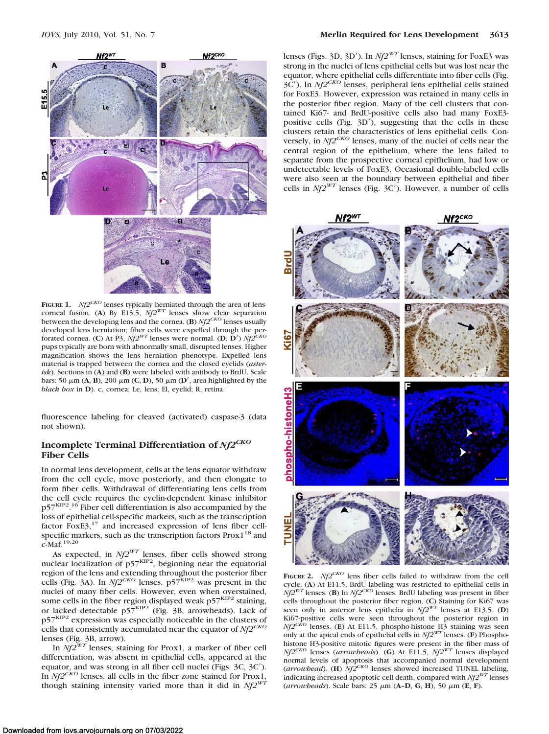

**FIGURE 1.** *Nf2<sup>CKO</sup>* lenses typically herniated through the area of lenscorneal fusion. (A) By E15.5,  $Nf2^{WT}$  lenses show clear separation between the developing lens and the cornea. (**B**) *Nf2CKO* lenses usually developed lens herniation; fiber cells were expelled through the perforated cornea. (C) At P3,  $Nf2^{WT}$  lenses were normal. (D, D')  $Nf2$ <sup>T</sup> pups typically are born with abnormally small, disrupted lenses. Higher magnification shows the lens herniation phenotype. Expelled lens material is trapped between the cornea and the closed eyelids (*asterisk*). Sections in (**A**) and (**B**) were labeled with antibody to BrdU. Scale bars: 50  $\mu$ m (A, B), 200  $\mu$ m (C, D), 50  $\mu$ m (D', area highlighted by the *black box* in **D**). c, cornea; Le, lens; El, eyelid; R, retina.

fluorescence labeling for cleaved (activated) caspase-3 (data not shown).

# **Incomplete Terminal Differentiation of** *Nf2CKO* **Fiber Cells**

In normal lens development, cells at the lens equator withdraw from the cell cycle, move posteriorly, and then elongate to form fiber cells. Withdrawal of differentiating lens cells from the cell cycle requires the cyclin-dependent kinase inhibitor p57<sup>KIP2</sup>.<sup>16</sup> Fiber cell differentiation is also accompanied by the loss of epithelial cell-specific markers, such as the transcription factor  $FoxE3$ ,<sup>17</sup> and increased expression of lens fiber cellspecific markers, such as the transcription factors Prox1<sup>18</sup> and c-Maf.19,20

As expected, in *Nf2WT* lenses, fiber cells showed strong nuclear localization of  $p57<sup>KIP2</sup>$ , beginning near the equatorial region of the lens and extending throughout the posterior fiber cells (Fig. 3A). In *Nf2<sup>CKO</sup>* lenses, p57<sup>KIP2</sup> was present in the nuclei of many fiber cells. However, even when overstained, some cells in the fiber region displayed weak  $p57<sup>KIP2</sup>$  staining, or lacked detectable p57<sup>KIP2</sup> (Fig. 3B, arrowheads). Lack of p57KIP2 expression was especially noticeable in the clusters of cells that consistently accumulated near the equator of *Nf2CKO* lenses (Fig. 3B, arrow).

In *Nf2WT* lenses, staining for Prox1, a marker of fiber cell differentiation, was absent in epithelial cells, appeared at the equator, and was strong in all fiber cell nuclei (Figs. 3C, 3C). In *Nf2CKO* lenses, all cells in the fiber zone stained for Prox1, though staining intensity varied more than it did in *Nf2WT*

lenses (Figs. 3D, 3D'). In  $Nf2^{WT}$  lenses, staining for FoxE3 was strong in the nuclei of lens epithelial cells but was lost near the equator, where epithelial cells differentiate into fiber cells (Fig. 3C). In *Nf2CKO* lenses, peripheral lens epithelial cells stained for FoxE3. However, expression was retained in many cells in the posterior fiber region. Many of the cell clusters that contained Ki67- and BrdU-positive cells also had many FoxE3 positive cells (Fig. 3D'), suggesting that the cells in these clusters retain the characteristics of lens epithelial cells. Conversely, in *Nf2CKO* lenses, many of the nuclei of cells near the central region of the epithelium, where the lens failed to separate from the prospective corneal epithelium, had low or undetectable levels of FoxE3. Occasional double-labeled cells were also seen at the boundary between epithelial and fiber cells in *Nf2WT* lenses (Fig. 3C). However, a number of cells



**FIGURE 2.**  $Nf2^{CKO}$  lens fiber cells failed to withdraw from the cell cycle. (**A**) At E11.5, BrdU labeling was restricted to epithelial cells in  $Nf2^{WT}$  lenses. (**B**) In  $Nf2^{CKO}$  lenses. BrdU labeling was present in fiber cells throughout the posterior fiber region. (**C**) Staining for Ki67 was seen only in anterior lens epithelia in *Nf2WT* lenses at E13.5. (**D**) Ki67-positive cells were seen throughout the posterior region in *Nf2<sup>CKO</sup>* lenses. (**E**) At E11.5, phospho-histone H3 staining was seen only at the apical ends of epithelial cells in *Nf2WT* lenses. (**F**) Phosphohistone H3-positive mitotic figures were present in the fiber mass of *Nf2CKO* lenses (*arrowheads*). (**G**) At E11.5, *Nf2WT* lenses displayed normal levels of apoptosis that accompanied normal development (*arrowhead*). (**H**) *Nf2CKO* lenses showed increased TUNEL labeling, indicating increased apoptotic cell death, compared with *Nf2WT* lenses (*arrowheads*). Scale bars: 25 μm (**A-D**, **G**, **H**), 50 μm (**E**, **F**).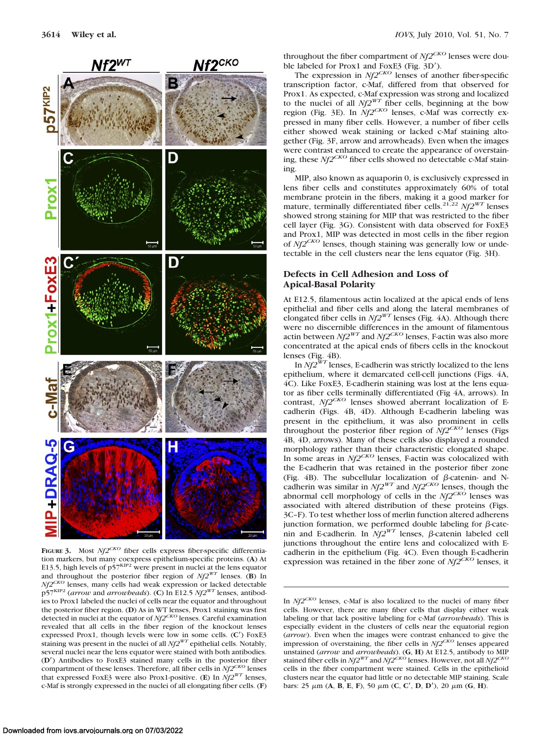

FIGURE 3. Most *Nf2<sup>CKO</sup>* fiber cells express fiber-specific differentiation markers, but many coexpress epithelium-specific proteins. (**A**) At E13.5, high levels of p57<sup>KIP2</sup> were present in nuclei at the lens equator and throughout the posterior fiber region of  $Nf2^{WT}$  lenses. (**B**) In *Nf2<sup>CKO</sup>* lenses, many cells had weak expression or lacked detectable p57KIP2 (*arrow* and *arrowheads*). (**C**) In E12.5 *Nf2WT* lenses, antibodies to Prox1 labeled the nuclei of cells near the equator and throughout the posterior fiber region. (**D**) As in WT lenses, Prox1 staining was first detected in nuclei at the equator of *Nf2CKO* lenses. Careful examination revealed that all cells in the fiber region of the knockout lenses expressed Prox1, though levels were low in some cells. (**C**) FoxE3 staining was present in the nuclei of all *Nf2WT* epithelial cells. Notably, several nuclei near the lens equator were stained with both antibodies. (**D**) Antibodies to FoxE3 stained many cells in the posterior fiber compartment of these lenses. Therefore, all fiber cells in *Nf2CKO* lenses that expressed FoxE3 were also Prox1-positive. (**E**) In *Nf2WT* lenses, c-Maf is strongly expressed in the nuclei of all elongating fiber cells. (**F**)

throughout the fiber compartment of  $Nf2^{CKO}$  lenses were double labeled for Prox1 and FoxE3 (Fig. 3D').

The expression in *Nf2<sup>CKO</sup>* lenses of another fiber-specific transcription factor, c-Maf, differed from that observed for Prox1. As expected, c-Maf expression was strong and localized to the nuclei of all  $Nf2^{WT}$  fiber cells, beginning at the bow region (Fig. 3E). In *Nf2CKO* lenses, c-Maf was correctly expressed in many fiber cells. However, a number of fiber cells either showed weak staining or lacked c-Maf staining altogether (Fig. 3F, arrow and arrowheads). Even when the images were contrast enhanced to create the appearance of overstaining, these *Nf2CKO* fiber cells showed no detectable c-Maf staining.

MIP, also known as aquaporin 0, is exclusively expressed in lens fiber cells and constitutes approximately 60% of total membrane protein in the fibers, making it a good marker for mature, terminally differentiated fiber cells.21,22 *Nf2WT* lenses showed strong staining for MIP that was restricted to the fiber cell layer (Fig. 3G). Consistent with data observed for FoxE3 and Prox1, MIP was detected in most cells in the fiber region of *Nf2CKO* lenses, though staining was generally low or undetectable in the cell clusters near the lens equator (Fig. 3H).

## **Defects in Cell Adhesion and Loss of Apical-Basal Polarity**

At E12.5, filamentous actin localized at the apical ends of lens epithelial and fiber cells and along the lateral membranes of elongated fiber cells in  $Nf2^{WT}$  lenses (Fig. 4A). Although there were no discernible differences in the amount of filamentous actin between  $Nf2^{WT}$  and  $Nf2^{CKO}$  lenses, F-actin was also more concentrated at the apical ends of fibers cells in the knockout lenses (Fig. 4B).

In *Nf2WT* lenses, E-cadherin was strictly localized to the lens epithelium, where it demarcated cell-cell junctions (Figs. 4A, 4C). Like FoxE3, E-cadherin staining was lost at the lens equator as fiber cells terminally differentiated (Fig 4A, arrows). In contrast, *Nf2<sup>CKO</sup>* lenses showed aberrant localization of Ecadherin (Figs. 4B, 4D). Although E-cadherin labeling was present in the epithelium, it was also prominent in cells throughout the posterior fiber region of  $\overline{N}f2^{CKO}$  lenses (Figs 4B, 4D, arrows). Many of these cells also displayed a rounded morphology rather than their characteristic elongated shape. In some areas in *Nf2<sup>CKO*</sup> lenses, F-actin was colocalized with the E-cadherin that was retained in the posterior fiber zone (Fig. 4B). The subcellular localization of  $\beta$ -catenin- and N-cadherin was similar in *Nf2<sup>WT</sup>* and *Nf2<sup>CKO</sup>* lenses, though the abnormal cell morphology of cells in the  $Nf2^{CKO}$  lenses was associated with altered distribution of these proteins (Figs. 3C–F). To test whether loss of merlin function altered adherens junction formation, we performed double labeling for  $\beta$ -catenin and E-cadherin. In  $Nf2^{WT}$  lenses,  $\beta$ -catenin labeled cell junctions throughout the entire lens and colocalized with Ecadherin in the epithelium (Fig. 4C). Even though E-cadherin expression was retained in the fiber zone of *Nf2CKO* lenses, it

In *Nf2CKO* lenses, c-Maf is also localized to the nuclei of many fiber cells. However, there are many fiber cells that display either weak labeling or that lack positive labeling for c-Maf (*arrowheads*). This is especially evident in the clusters of cells near the equatorial region (*arrow*). Even when the images were contrast enhanced to give the impression of overstaining, the fiber cells in *Nf2CKO* lenses appeared unstained (*arrow* and *arrowheads*). (**G**, **H**) At E12.5, antibody to MIP stained fiber cells in *Nf2WT* and *Nf2CKO* lenses. However, not all *Nf2CKO* cells in the fiber compartment were stained. Cells in the epithelioid clusters near the equator had little or no detectable MIP staining. Scale bars: 25  $\mu$ m (**A**, **B**, **E**, **F**), 50  $\mu$ m (**C**, **C**<sup> $\prime$ </sup>, **D**, **D**<sup> $\prime$ </sup>), 20  $\mu$ m (**G**, **H**).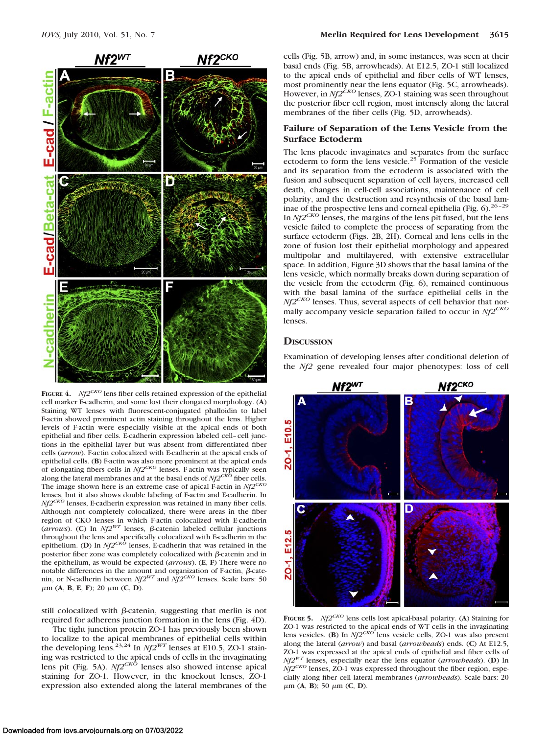

**FIGURE 4.**  $Nf2^{CKO}$  lens fiber cells retained expression of the epithelial cell marker E-cadherin, and some lost their elongated morphology. (**A**) Staining WT lenses with fluorescent-conjugated phalloidin to label F-actin showed prominent actin staining throughout the lens. Higher levels of F-actin were especially visible at the apical ends of both epithelial and fiber cells. E-cadherin expression labeled cell–cell junctions in the epithelial layer but was absent from differentiated fiber cells (*arrow*). F-actin colocalized with E-cadherin at the apical ends of epithelial cells. (**B**) F-actin was also more prominent at the apical ends of elongating fibers cells in *Nf2CKO* lenses. F-actin was typically seen along the lateral membranes and at the basal ends of *Nf2CKO* fiber cells. The image shown here is an extreme case of apical F-actin in *Nf2CKO* lenses, but it also shows double labeling of F-actin and E-cadherin. In *Nf2CKO* lenses, E-cadherin expression was retained in many fiber cells. Although not completely colocalized, there were areas in the fiber region of CKO lenses in which F-actin colocalized with E-cadherin (*arrows*). (C) In  $Nf2^{WT}$  lenses,  $\beta$ -catenin labeled cellular junctions throughout the lens and specifically colocalized with E-cadherin in the epithelium. (**D**) In *Nf2CKO* lenses, E-cadherin that was retained in the posterior fiber zone was completely colocalized with  $\beta$ -catenin and in the epithelium, as would be expected (*arrows*). (**E**, **F**) There were no notable differences in the amount and organization of F-actin,  $\beta$ -catenin, or N-cadherin between  $Nf2^{WT}$  and  $Nf2^{CKO}$  lenses. Scale bars: 50  $\mu$ m (**A**, **B**, **E**, **F**); 20  $\mu$ m (**C**, **D**).

still colocalized with  $\beta$ -catenin, suggesting that merlin is not required for adherens junction formation in the lens (Fig. 4D).

The tight junction protein ZO-1 has previously been shown to localize to the apical membranes of epithelial cells within the developing lens.<sup>23,24</sup> In *Nf2<sup>WT</sup>* lenses at E10.5, ZO-1 staining was restricted to the apical ends of cells in the invaginating lens pit (Fig. 5A). *Nf2<sup>CKO*</sup> lenses also showed intense apical staining for ZO-1. However, in the knockout lenses, ZO-1 expression also extended along the lateral membranes of the cells (Fig. 5B, arrow) and, in some instances, was seen at their basal ends (Fig. 5B, arrowheads). At E12.5, ZO-1 still localized to the apical ends of epithelial and fiber cells of WT lenses, most prominently near the lens equator (Fig. 5C, arrowheads). However, in *Nf2<sup>CKO</sup>* lenses, ZO-1 staining was seen throughout the posterior fiber cell region, most intensely along the lateral membranes of the fiber cells (Fig. 5D, arrowheads).

# **Failure of Separation of the Lens Vesicle from the Surface Ectoderm**

The lens placode invaginates and separates from the surface ectoderm to form the lens vesicle.<sup>25</sup> Formation of the vesicle and its separation from the ectoderm is associated with the fusion and subsequent separation of cell layers, increased cell death, changes in cell-cell associations, maintenance of cell polarity, and the destruction and resynthesis of the basal laminae of the prospective lens and corneal epithelia (Fig.  $6$ ).<sup>26-29</sup> In *Nf2CKO* lenses, the margins of the lens pit fused, but the lens vesicle failed to complete the process of separating from the surface ectoderm (Figs. 2B, 2H). Corneal and lens cells in the zone of fusion lost their epithelial morphology and appeared multipolar and multilayered, with extensive extracellular space. In addition, Figure 3D shows that the basal lamina of the lens vesicle, which normally breaks down during separation of the vesicle from the ectoderm (Fig. 6), remained continuous with the basal lamina of the surface epithelial cells in the *Nf2<sup>CKO</sup>* lenses. Thus, several aspects of cell behavior that normally accompany vesicle separation failed to occur in *Nf2CKO* lenses.

#### **DISCUSSION**

Examination of developing lenses after conditional deletion of the *Nf2* gene revealed four major phenotypes: loss of cell



**FIGURE 5.**  $Nf2^{CKO}$  lens cells lost apical-basal polarity. (A) Staining for ZO-1 was restricted to the apical ends of WT cells in the invaginating lens vesicles. (**B**) In *Nf2CKO* lens vesicle cells, ZO-1 was also present along the lateral (*arrow*) and basal (*arrowheads*) ends. (**C**) At E12.5, ZO-1 was expressed at the apical ends of epithelial and fiber cells of *Nf2WT* lenses, especially near the lens equator (*arrowheads*). (**D**) In  $Nf2^{CKO}$  lenses, ZO-1 was expressed throughout the fiber region, especially along fiber cell lateral membranes (*arrowheads*). Scale bars: 20  $\mu$ m (**A**, **B**); 50  $\mu$ m (**C**, **D**).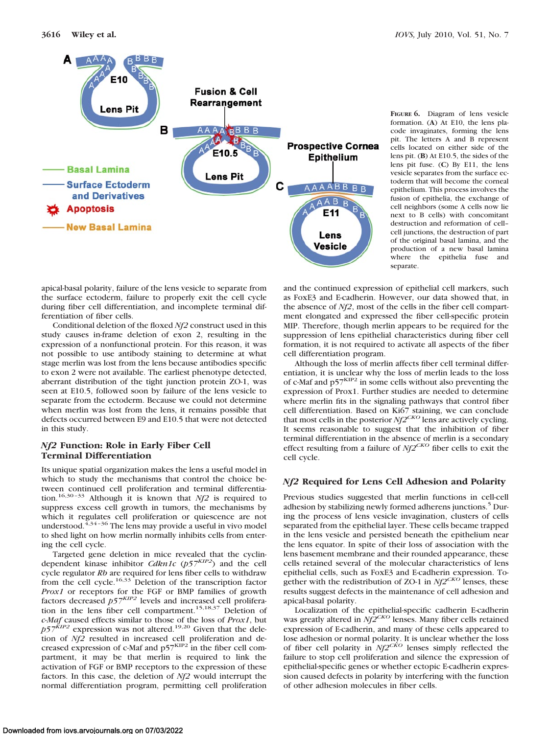

**FIGURE 6.** Diagram of lens vesicle formation. (**A**) At E10, the lens placode invaginates, forming the lens pit. The letters A and B represent cells located on either side of the lens pit. (**B**) At E10.5, the sides of the lens pit fuse. (**C**) By E11, the lens vesicle separates from the surface ectoderm that will become the corneal epithelium. This process involves the fusion of epithelia, the exchange of cell neighbors (some A cells now lie next to B cells) with concomitant destruction and reformation of cell– cell junctions, the destruction of part of the original basal lamina, and the production of a new basal lamina where the epithelia fuse and separate.

apical-basal polarity, failure of the lens vesicle to separate from the surface ectoderm, failure to properly exit the cell cycle during fiber cell differentiation, and incomplete terminal differentiation of fiber cells.

Conditional deletion of the floxed *Nf2* construct used in this study causes in-frame deletion of exon 2, resulting in the expression of a nonfunctional protein. For this reason, it was not possible to use antibody staining to determine at what stage merlin was lost from the lens because antibodies specific to exon 2 were not available. The earliest phenotype detected, aberrant distribution of the tight junction protein ZO-1, was seen at E10.5, followed soon by failure of the lens vesicle to separate from the ectoderm. Because we could not determine when merlin was lost from the lens, it remains possible that defects occurred between E9 and E10.5 that were not detected in this study.

# *Nf2* **Function: Role in Early Fiber Cell Terminal Differentiation**

Its unique spatial organization makes the lens a useful model in which to study the mechanisms that control the choice between continued cell proliferation and terminal differentiation.<sup>16,30-33</sup> Although it is known that  $Nf2$  is required to suppress excess cell growth in tumors, the mechanisms by which it regulates cell proliferation or quiescence are not understood. $4,34-36$  The lens may provide a useful in vivo model to shed light on how merlin normally inhibits cells from entering the cell cycle.

Targeted gene deletion in mice revealed that the cyclindependent kinase inhibitor *Cdkn1c* (*p57KIP2*) and the cell cycle regulator *Rb* are required for lens fiber cells to withdraw<br>from the cell cycle.<sup>16,33</sup> Deletion of the transcription factor *Prox1* or receptors for the FGF or BMP families of growth factors decreased *p57KIP2* levels and increased cell proliferation in the lens fiber cell compartment.<sup>15,18,37</sup> Deletion of *c-Maf* caused effects similar to those of the loss of *Prox1*, but *p57*<sup>KIP2</sup> expression was not altered.<sup>19,20</sup> Given that the deletion of *Nf2* resulted in increased cell proliferation and decreased expression of c-Maf and  $p57<sup>KIP2</sup>$  in the fiber cell compartment, it may be that merlin is required to link the activation of FGF or BMP receptors to the expression of these factors. In this case, the deletion of *Nf2* would interrupt the normal differentiation program, permitting cell proliferation

and the continued expression of epithelial cell markers, such as FoxE3 and E-cadherin. However, our data showed that, in the absence of *Nf2*, most of the cells in the fiber cell compartment elongated and expressed the fiber cell-specific protein MIP. Therefore, though merlin appears to be required for the suppression of lens epithelial characteristics during fiber cell formation, it is not required to activate all aspects of the fiber cell differentiation program.

Although the loss of merlin affects fiber cell terminal differentiation, it is unclear why the loss of merlin leads to the loss of c-Maf and  $p57<sup>KIP2</sup>$  in some cells without also preventing the expression of Prox1. Further studies are needed to determine where merlin fits in the signaling pathways that control fiber cell differentiation. Based on Ki67 staining, we can conclude that most cells in the posterior *Nf2CKO* lens are actively cycling. It seems reasonable to suggest that the inhibition of fiber terminal differentiation in the absence of merlin is a secondary effect resulting from a failure of *Nf2CKO* fiber cells to exit the cell cycle.

## *Nf2* **Required for Lens Cell Adhesion and Polarity**

Previous studies suggested that merlin functions in cell-cell adhesion by stabilizing newly formed adherens junctions.<sup>5</sup> During the process of lens vesicle invagination, clusters of cells separated from the epithelial layer. These cells became trapped in the lens vesicle and persisted beneath the epithelium near the lens equator. In spite of their loss of association with the lens basement membrane and their rounded appearance, these cells retained several of the molecular characteristics of lens epithelial cells, such as FoxE3 and E-cadherin expression. Together with the redistribution of ZO-1 in  $Nf2^{CKO}$  lenses, these results suggest defects in the maintenance of cell adhesion and apical-basal polarity.

Localization of the epithelial-specific cadherin E-cadherin was greatly altered in *Nf2CKO* lenses. Many fiber cells retained expression of E-cadherin, and many of these cells appeared to lose adhesion or normal polarity. It is unclear whether the loss of fiber cell polarity in  $Nf2^{CKO}$  lenses simply reflected the failure to stop cell proliferation and silence the expression of epithelial-specific genes or whether ectopic E-cadherin expression caused defects in polarity by interfering with the function of other adhesion molecules in fiber cells.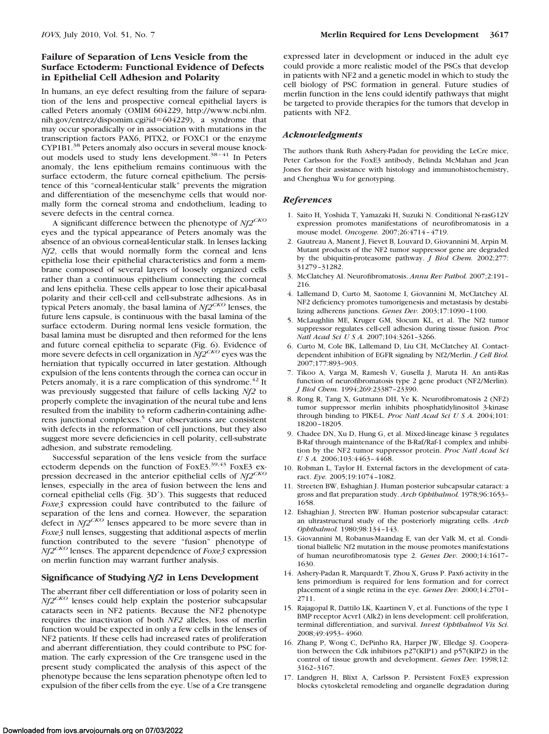# **Failure of Separation of Lens Vesicle from the Surface Ectoderm: Functional Evidence of Defects in Epithelial Cell Adhesion and Polarity**

In humans, an eye defect resulting from the failure of separation of the lens and prospective corneal epithelial layers is called Peters anomaly (OMIM 604229, http://www.ncbi.nlm. nih.gov/entrez/dispomim.cgi?id=604229), a syndrome that may occur sporadically or in association with mutations in the transcription factors PAX6, PITX2, or FOXC1 or the enzyme CYP1B1.38 Peters anomaly also occurs in several mouse knockout models used to study lens development.<sup>38-41</sup> In Peters anomaly, the lens epithelium remains continuous with the surface ectoderm, the future corneal epithelium. The persistence of this "corneal-lenticular stalk" prevents the migration and differentiation of the mesenchyme cells that would normally form the corneal stroma and endothelium, leading to severe defects in the central cornea.

A significant difference between the phenotype of *Nf2CKO* eyes and the typical appearance of Peters anomaly was the absence of an obvious corneal-lenticular stalk. In lenses lacking *Nf2*, cells that would normally form the corneal and lens epithelia lose their epithelial characteristics and form a membrane composed of several layers of loosely organized cells rather than a continuous epithelium connecting the corneal and lens epithelia. These cells appear to lose their apical-basal polarity and their cell-cell and cell-substrate adhesions. As in typical Peters anomaly, the basal lamina of *Nf2CKO* lenses, the future lens capsule, is continuous with the basal lamina of the surface ectoderm. During normal lens vesicle formation, the basal lamina must be disrupted and then reformed for the lens and future corneal epithelia to separate (Fig. 6). Evidence of more severe defects in cell organization in *Nf2CKO* eyes was the herniation that typically occurred in later gestation. Although expulsion of the lens contents through the cornea can occur in Peters anomaly, it is a rare complication of this syndrome.<sup>42</sup> It was previously suggested that failure of cells lacking *Nf2* to properly complete the invagination of the neural tube and lens resulted from the inability to reform cadherin-containing adherens junctional complexes.5 Our observations are consistent with defects in the reformation of cell junctions, but they also suggest more severe deficiencies in cell polarity, cell-substrate adhesion, and substrate remodeling.

Successful separation of the lens vesicle from the surface ectoderm depends on the function of FoxE3.<sup>39,43</sup> FoxE3 expression decreased in the anterior epithelial cells of *Nf2CKO* lenses, especially in the area of fusion between the lens and corneal epithelial cells (Fig. 3D'). This suggests that reduced *Foxe3* expression could have contributed to the failure of separation of the lens and cornea. However, the separation defect in *Nf2CKO* lenses appeared to be more severe than in *Foxe3* null lenses, suggesting that additional aspects of merlin function contributed to the severe "fusion" phenotype of *Nf2CKO* lenses. The apparent dependence of *Foxe3* expression on merlin function may warrant further analysis.

# **Significance of Studying** *Nf2* **in Lens Development**

The aberrant fiber cell differentiation or loss of polarity seen in *Nf2CKO* lenses could help explain the posterior subcapsular cataracts seen in NF2 patients. Because the NF2 phenotype requires the inactivation of both *NF2* alleles, loss of merlin function would be expected in only a few cells in the lenses of NF2 patients. If these cells had increased rates of proliferation and aberrant differentiation, they could contribute to PSC formation. The early expression of the Cre transgene used in the present study complicated the analysis of this aspect of the phenotype because the lens separation phenotype often led to expulsion of the fiber cells from the eye. Use of a Cre transgene

expressed later in development or induced in the adult eye could provide a more realistic model of the PSCs that develop in patients with NF2 and a genetic model in which to study the cell biology of PSC formation in general. Future studies of merlin function in the lens could identify pathways that might be targeted to provide therapies for the tumors that develop in patients with NF2.

## *Acknowledgments*

The authors thank Ruth Ashery-Padan for providing the LeCre mice, Peter Carlsson for the FoxE3 antibody, Belinda McMahan and Jean Jones for their assistance with histology and immunohistochemistry, and Chenghua Wu for genotyping.

## *References*

- 1. Saito H, Yoshida T, Yamazaki H, Suzuki N. Conditional N-rasG12V expression promotes manifestations of neurofibromatosis in a mouse model. *Oncogene.* 2007;26:4714 – 4719.
- 2. Gautreau A, Manent J, Fievet B, Louvard D, Giovannini M, Arpin M. Mutant products of the NF2 tumor suppressor gene are degraded by the ubiquitin-proteasome pathway. *J Biol Chem.* 2002;277: 31279 –31282.
- 3. McClatchey AI. Neurofibromatosis. *Annu Rev Pathol.* 2007;2:191– 216.
- 4. Lallemand D, Curto M, Saotome I, Giovannini M, McClatchey AI. NF2 deficiency promotes tumorigenesis and metastasis by destabilizing adherens junctions. *Genes Dev.* 2003;17:1090 –1100.
- 5. McLaughlin ME, Kruger GM, Slocum KL, et al. The Nf2 tumor suppressor regulates cell-cell adhesion during tissue fusion. *Proc Natl Acad Sci U S A.* 2007;104:3261–3266.
- 6. Curto M, Cole BK, Lallemand D, Liu CH, McClatchey AI. Contactdependent inhibition of EGFR signaling by Nf2/Merlin. *J Cell Biol.* 2007;177:893–903.
- 7. Tikoo A, Varga M, Ramesh V, Gusella J, Maruta H. An anti-Ras function of neurofibromatosis type 2 gene product (NF2/Merlin). *J Biol Chem.* 1994;269:23387–23390.
- 8. Rong R, Tang X, Gutmann DH, Ye K. Neurofibromatosis 2 (NF2) tumor suppressor merlin inhibits phosphatidylinositol 3-kinase through binding to PIKE-L. *Proc Natl Acad Sci U S A.* 2004;101: 18200 –18205.
- 9. Chadee DN, Xu D, Hung G, et al. Mixed-lineage kinase 3 regulates B-Raf through maintenance of the B-Raf/Raf-1 complex and inhibition by the NF2 tumor suppressor protein. *Proc Natl Acad Sci U S A.* 2006;103:4463– 4468.
- 10. Robman L, Taylor H. External factors in the development of cataract. *Eye.* 2005;19:1074 –1082.
- 11. Streeten BW, Eshaghian J. Human posterior subcapsular cataract: a gross and flat preparation study. *Arch Ophthalmol.* 1978;96:1653– 1658.
- 12. Eshaghian J, Streeten BW. Human posterior subcapsular cataract: an ultrastructural study of the posteriorly migrating cells. *Arch Ophthalmol.* 1980;98:134 –143.
- 13. Giovannini M, Robanus-Maandag E, van der Valk M, et al. Conditional biallelic Nf2 mutation in the mouse promotes manifestations of human neurofibromatosis type 2. *Genes Dev.* 2000;14:1617– 1630.
- 14. Ashery-Padan R, Marquardt T, Zhou X, Gruss P. Pax6 activity in the lens primordium is required for lens formation and for correct placement of a single retina in the eye. *Genes Dev.* 2000;14:2701– 2711.
- 15. Rajagopal R, Dattilo LK, Kaartinen V, et al. Functions of the type 1 BMP receptor Acvr1 (Alk2) in lens development: cell proliferation, terminal differentiation, and survival. *Invest Ophthalmol Vis Sci.* 2008;49:4953– 4960.
- 16. Zhang P, Wong C, DePinho RA, Harper JW, Elledge SJ. Cooperation between the Cdk inhibitors p27(KIP1) and p57(KIP2) in the control of tissue growth and development. *Genes Dev.* 1998;12: 3162–3167.
- 17. Landgren H, Blixt A, Carlsson P. Persistent FoxE3 expression blocks cytoskeletal remodeling and organelle degradation during